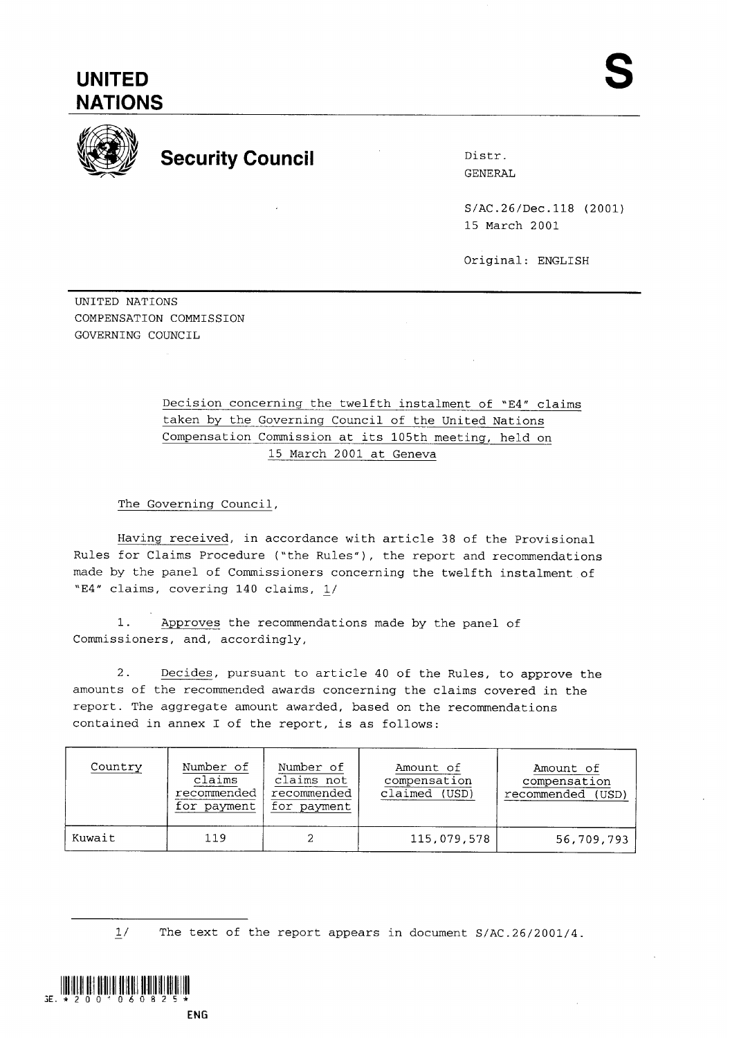## **UNITED NATIONS**



## **Security Council Distress Distress**

GENERAL

S/AC.26/Dec.118 (2001) 15 March 2001

Original: ENGLISH

UNITED NATIONS COMPENSATION COMMISSION GOVERNING COUNCIL

## Decision concerning the twelfth instalment of "E4" claims taken by the Governing Council of the United Nations Compensation Commission at its 105th meeting, held on 15 March 2001 at Geneva

The Governing Council,

Having received, in accordance with article 38 of the Provisional Rules for Claims Procedure ("the Rules"), the report and recommendations made by the panel of Commissioners concerning the twelfth instalment of "E4" claims, covering 140 claims, 1/

1. Approves the recommendations made by the panel of Commissioners, and, accordingly,

2. Decides, pursuant to article 40 of the Rules, to approve the amounts of the recommended awards concerning the claims covered in the report. The aggregate amount awarded, based on the recommendations contained in annex I of the report, is as follows:

| Country | Number of<br>claims<br>recommended<br>for payment | Number of<br>claims not<br>recommended<br>for payment | Amount of<br>compensation<br>claimed (USD) | Amount of<br>compensation<br>recommended<br>(USD) |
|---------|---------------------------------------------------|-------------------------------------------------------|--------------------------------------------|---------------------------------------------------|
| Kuwait  | 119                                               |                                                       | 115,079,578                                | 56,709,793                                        |

 $1/$ The text of the report appears in document S/AC.26/2001/4.